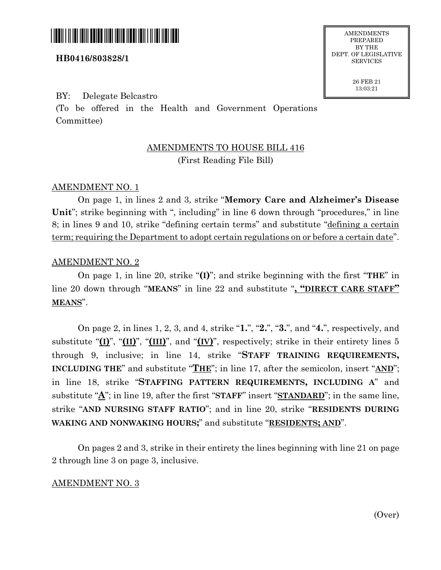

### **HB0416/803828/1**

### BY: Delegate Belcastro

(To be offered in the Health and Government Operations Committee)

# AMENDMENTS TO HOUSE BILL 416 (First Reading File Bill)

### AMENDMENT NO. 1

On page 1, in lines 2 and 3, strike "**Memory Care and Alzheimer's Disease Unit**"; strike beginning with ", including" in line 6 down through "procedures," in line 8; in lines 9 and 10, strike "defining certain terms" and substitute "defining a certain term; requiring the Department to adopt certain regulations on or before a certain date".

#### AMENDMENT NO. 2

On page 1, in line 20, strike "**(I)**"; and strike beginning with the first "**THE**" in line 20 down through "**MEANS**" in line 22 and substitute "**, "DIRECT CARE STAFF" MEANS**".

On page 2, in lines 1, 2, 3, and 4, strike "**1.**", "**2.**", "**3.**", and "**4.**", respectively, and substitute "**(I)**", "**(II)**", "**(III)**", and "**(IV)**", respectively; strike in their entirety lines 5 through 9, inclusive; in line 14, strike "**STAFF TRAINING REQUIREMENTS, INCLUDING THE**" and substitute "**THE**"; in line 17, after the semicolon, insert "**AND**"; in line 18, strike "**STAFFING PATTERN REQUIREMENTS, INCLUDING A**" and substitute "**A**"; in line 19, after the first "**STAFF**" insert "**STANDARD**"; in the same line, strike "**AND NURSING STAFF RATIO**"; and in line 20, strike "**RESIDENTS DURING WAKING AND NONWAKING HOURS;**" and substitute "**RESIDENTS; AND**".

On pages 2 and 3, strike in their entirety the lines beginning with line 21 on page 2 through line 3 on page 3, inclusive.

#### AMENDMENT NO. 3

PREPARED BY THE DEPT. OF LEGISLATIVE **SERVICES** 

> 26 FEB 21 13:03:21

> > (Over)